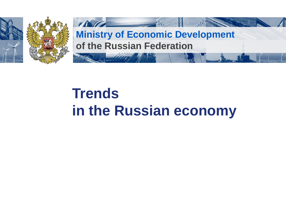

# **Trends in the Russian economy**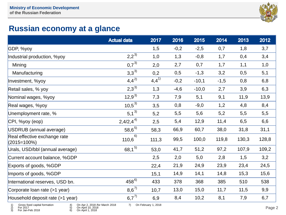

## **Russian economy at a glance**

|                                                | <b>Actual data</b> | 2017      | 2016   | 2015    | 2014   | 2013  | 2012  |
|------------------------------------------------|--------------------|-----------|--------|---------|--------|-------|-------|
| GDP, %yoy                                      |                    | 1,5       | $-0,2$ | $-2,5$  | 0,7    | 1,8   | 3,7   |
| Industrial production, %yoy                    | $2,2^{3}$          | 1,0       | 1,3    | $-0,8$  | 1,7    | 0,4   | 3,4   |
| Mining                                         | $0,7^{3}$          | 2,0       | 2,7    | 0,7     | 1,7    | 1,1   | 1,0   |
| Manufacturing                                  | $3,3^{3}$          | 0,2       | 0,5    | $-1,3$  | 3,2    | 0,5   | 5,1   |
| Investment, %yoy                               | $4,4^{2}$          | $4,4^{1}$ | $-0,2$ | $-10,1$ | $-1,5$ | 0,8   | 6,8   |
| Retail sales, % yoy                            | $2,3^{3}$          | 1,3       | $-4,6$ | $-10,0$ | 2,7    | 3,9   | 6,3   |
| Nominal wages, %yoy                            | $12,9^{3}$         | 7,3       | 7,9    | 5,1     | 9,1    | 11,9  | 13,9  |
| Real wages, %yoy                               | $10,5^{3}$         | 3,5       | 0,8    | $-9,0$  | 1,2    | 4,8   | 8,4   |
| Unemployment rate, %                           | $5,1^{3}$          | 5,2       | 5,5    | 5,6     | 5,2    | 5,5   | 5,5   |
| CPI, %yoy (eop)                                | $2,4/2,4^{4}$      | 2,5       | 5,4    | 12,9    | 11,4   | 6,5   | 6,6   |
| USDRUB (annual average)                        | $58,6^{5}$         | 58,3      | 66,9   | 60,7    | 38,0   | 31,8  | 31,1  |
| Real effective exchange rate<br>$(2015=100\%)$ | 6)<br>110,6        | 111,3     | 99,5   | 100,0   | 119,8  | 130,3 | 128,8 |
| Urals, USD/bbl (annual average)                | $68,1^{5}$         | 53,0      | 41,7   | 51,2    | 97,2   | 107,9 | 109,2 |
| Current account balance, %GDP                  |                    | 2,5       | 2,0    | 5,0     | 2,8    | 1,5   | 3,2   |
| Exports of goods, %GDP                         |                    | 22,4      | 21,9   | 24,9    | 23,9   | 23,4  | 24,5  |
| Imports of goods, %GDP                         |                    | 15,1      | 14,9   | 14,1    | 14,8   | 15,3  | 15,6  |
| International reserves, USD bn.                | $458^{6}$          | 433       | 378    | 368     | 385    | 510   | 538   |
| Corporate loan rate (>1 year)                  | $8,6^{7}$          | 10,7      | 13,0   | 15,0    | 11,7   | 11,5  | 9,9   |
| Household deposit rate (>1 year)               | $6,7^{7}$          | 6,9       | 8,4    | 10,2    | 8,1    | 7,9   | 6,7   |

1) Gross fixed capital formation 2) For 2017 2) For 2017<br>3) For Jan-Feb 2018

4) On Apr 2, 2018 /for March 2018 5) On April 10, 2018  $\begin{bmatrix} 6 \\ 6 \end{bmatrix}$  On April 10, 2018<br>6) On April 1, 2018

7) On February 1, 2018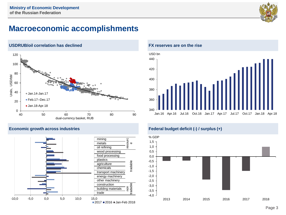

### **Macroeconomic accomplishments**





#### **FX reserves are on the rise**





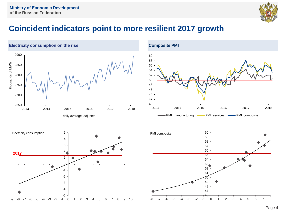

## **Coincident indicators point to more resilient 2017 growth**



Page 4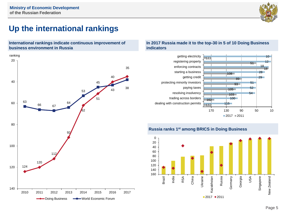

## **Up the international rankings**





#### **In 2017 Russia made it to the top-30 in 5 of 10 Doing Business indicators**



#### **Russia ranks 1st among BRICS in Doing Business**

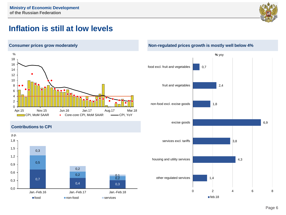

## **Inflation is still at low levels**



#### **Contributions to CPI**



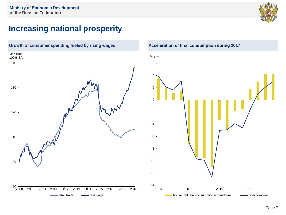

## **Increasing national prosperity**



**Growth of consumer spending fueled by rising wages Acceleration of final consumption during 2017**

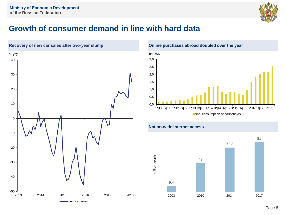

## **Growth of consumer demand in line with hard data**



**Online purchases abroad doubled over the year**





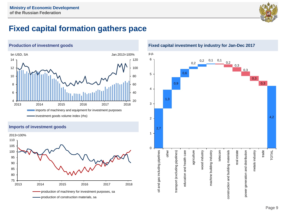

## **Fixed capital formation gathers pace**



#### **Imports of investment goods**



**Fixed capital investment by industry for Jan-Dec 2017**

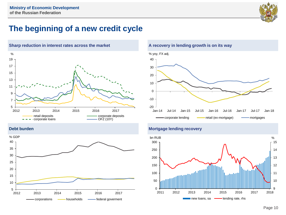

## **The beginning of a new credit cycle**





#### **A recovery in lending growth is on its way**



#### **Debt burden Mortgage lending recovery**

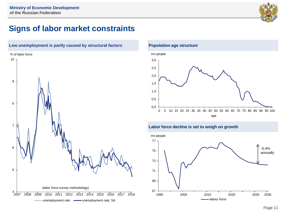

## **Signs of labor market constraints**



#### **Population age structure**